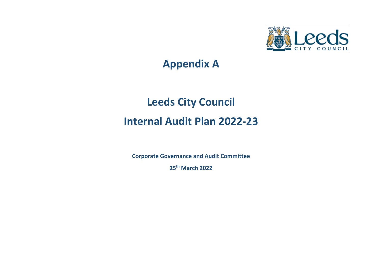

## **Appendix A**

# **Leeds City Council Internal Audit Plan 2022-23**

**Corporate Governance and Audit Committee**

**25th March 2022**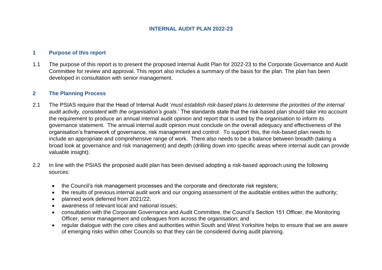#### **INTERNAL AUDIT PLAN 2022-23**

#### **1 Purpose of this report**

1.1 The purpose of this report is to present the proposed Internal Audit Plan for 2022-23 to the Corporate Governance and Audit Committee for review and approval. This report also includes a summary of the basis for the plan. The plan has been developed in consultation with senior management.

#### **2 The Planning Process**

- 2.1 The PSIAS require that the Head of Internal Audit '*must establish risk-based plans to determine the priorities of the internal audit activity, consistent with the organisation's goals*.' The standards state that the risk-based plan should take into account the requirement to produce an annual internal audit opinion and report that is used by the organisation to inform its governance statement. The annual internal audit opinion must conclude on the overall adequacy and effectiveness of the organisation's framework of governance, risk management and control. To support this, the risk-based plan needs to include an appropriate and comprehensive range of work. There also needs to be a balance between breadth (taking a broad look at governance and risk management) and depth (drilling down into specific areas where internal audit can provide valuable insight).
- 2.2 In line with the PSIAS the proposed audit plan has been devised adopting a risk-based approach using the following sources:
	- the Council's risk management processes and the corporate and directorate risk registers;
	- the results of previous internal audit work and our ongoing assessment of the auditable entities within the authority;
	- planned work deferred from 2021/22:
	- awareness of relevant local and national issues;
	- consultation with the Corporate Governance and Audit Committee, the Council's Section 151 Officer, the Monitoring Officer, senior management and colleagues from across the organisation; and
	- regular dialogue with the core cities and authorities within South and West Yorkshire helps to ensure that we are aware of emerging risks within other Councils so that they can be considered during audit planning.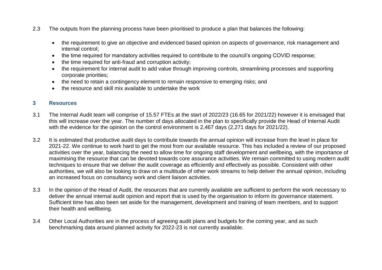- 2.3 The outputs from the planning process have been prioritised to produce a plan that balances the following:
	- the requirement to give an objective and evidenced based opinion on aspects of governance, risk management and internal control;
	- the time required for mandatory activities required to contribute to the council's ongoing COVID response;
	- the time required for anti-fraud and corruption activity;
	- the requirement for internal audit to add value through improving controls, streamlining processes and supporting corporate priorities;
	- the need to retain a contingency element to remain responsive to emerging risks; and
	- the resource and skill mix available to undertake the work

#### **3 Resources**

- 3.1 The Internal Audit team will comprise of 15.57 FTEs at the start of 2022/23 (16.65 for 2021/22) however it is envisaged that this will increase over the year. The number of days allocated in the plan to specifically provide the Head of Internal Audit with the evidence for the opinion on the control environment is 2,467 days (2,271 days for 2021/22).
- 3.2 It is estimated that productive audit days to contribute towards the annual opinion will increase from the level in place for 2021-22. We continue to work hard to get the most from our available resource. This has included a review of our proposed activities over the year, balancing the need to allow time for ongoing staff development and wellbeing, with the importance of maximising the resource that can be devoted towards core assurance activities. We remain committed to using modern audit techniques to ensure that we deliver the audit coverage as efficiently and effectively as possible. Consistent with other authorities, we will also be looking to draw on a multitude of other work streams to help deliver the annual opinion, including an increased focus on consultancy work and client liaison activities.
- 3.3 In the opinion of the Head of Audit, the resources that are currently available are sufficient to perform the work necessary to deliver the annual internal audit opinion and report that is used by the organisation to inform its governance statement. Sufficient time has also been set aside for the management, development and training of team members, and to support their health and wellbeing.
- 3.4 Other Local Authorities are in the process of agreeing audit plans and budgets for the coming year, and as such benchmarking data around planned activity for 2022-23 is not currently available.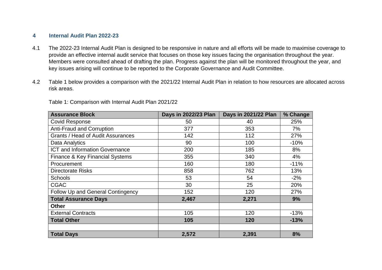#### **4 Internal Audit Plan 2022-23**

- 4.1 The 2022-23 Internal Audit Plan is designed to be responsive in nature and all efforts will be made to maximise coverage to provide an effective internal audit service that focuses on those key issues facing the organisation throughout the year. Members were consulted ahead of drafting the plan. Progress against the plan will be monitored throughout the year, and key issues arising will continue to be reported to the Corporate Governance and Audit Committee.
- 4.2 Table 1 below provides a comparison with the 2021/22 Internal Audit Plan in relation to how resources are allocated across risk areas.

| <b>Assurance Block</b>                   | Days in 2022/23 Plan | Days in 2021/22 Plan | % Change |
|------------------------------------------|----------------------|----------------------|----------|
| <b>Covid Response</b>                    | 50                   | 40                   | 25%      |
| <b>Anti-Fraud and Corruption</b>         | 377                  | 353                  | 7%       |
| <b>Grants / Head of Audit Assurances</b> | 142                  | 112                  | 27%      |
| Data Analytics                           | 90                   | 100                  | $-10%$   |
| ICT and Information Governance           | 200                  | 185                  | 8%       |
| Finance & Key Financial Systems          | 355                  | 340                  | 4%       |
| Procurement                              | 160                  | 180                  | $-11%$   |
| <b>Directorate Risks</b>                 | 858                  | 762                  | 13%      |
| <b>Schools</b>                           | 53                   | 54                   | $-2\%$   |
| <b>CGAC</b>                              | 30                   | 25                   | 20%      |
| Follow Up and General Contingency        | 152                  | 120                  | 27%      |
| <b>Total Assurance Days</b>              | 2,467                | 2,271                | 9%       |
| <b>Other</b>                             |                      |                      |          |
| <b>External Contracts</b>                | 105                  | 120                  | $-13%$   |
| <b>Total Other</b>                       | 105                  | 120                  | $-13%$   |
|                                          |                      |                      |          |
| <b>Total Days</b>                        | 2,572                | 2,391                | 8%       |

Table 1: Comparison with Internal Audit Plan 2021/22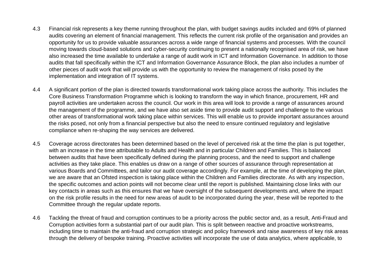- 4.3 Financial risk represents a key theme running throughout the plan, with budget savings audits included and 69% of planned audits covering an element of financial management. This reflects the current risk profile of the organisation and provides an opportunity for us to provide valuable assurances across a wide range of financial systems and processes. With the council moving towards cloud-based solutions and cyber-security continuing to present a nationally recognised area of risk, we have also increased the time available to undertake a range of audit work in ICT and Information Governance. In addition to those audits that fall specifically within the ICT and Information Governance Assurance Block, the plan also includes a number of other pieces of audit work that will provide us with the opportunity to review the management of risks posed by the implementation and integration of IT systems.
- 4.4 A significant portion of the plan is directed towards transformational work taking place across the authority. This includes the Core Business Transformation Programme which is looking to transform the way in which finance, procurement, HR and payroll activities are undertaken across the council. Our work in this area will look to provide a range of assurances around the management of the programme, and we have also set aside time to provide audit support and challenge to the various other areas of transformational work taking place within services. This will enable us to provide important assurances around the risks posed, not only from a financial perspective but also the need to ensure continued regulatory and legislative compliance when re-shaping the way services are delivered.
- 4.5 Coverage across directorates has been determined based on the level of perceived risk at the time the plan is put together, with an increase in the time attributable to Adults and Health and in particular Children and Families. This is balanced between audits that have been specifically defined during the planning process, and the need to support and challenge activities as they take place. This enables us draw on a range of other sources of assurance through representation at various Boards and Committees, and tailor our audit coverage accordingly. For example, at the time of developing the plan, we are aware that an Ofsted inspection is taking place within the Children and Families directorate. As with any inspection, the specific outcomes and action points will not become clear until the report is published. Maintaining close links with our key contacts in areas such as this ensures that we have oversight of the subsequent developments and, where the impact on the risk profile results in the need for new areas of audit to be incorporated during the year, these will be reported to the Committee through the regular update reports.
- 4.6 Tackling the threat of fraud and corruption continues to be a priority across the public sector and, as a result, Anti-Fraud and Corruption activities form a substantial part of our audit plan. This is split between reactive and proactive workstreams, including time to maintain the anti-fraud and corruption strategic and policy framework and raise awareness of key risk areas through the delivery of bespoke training. Proactive activities will incorporate the use of data analytics, where applicable, to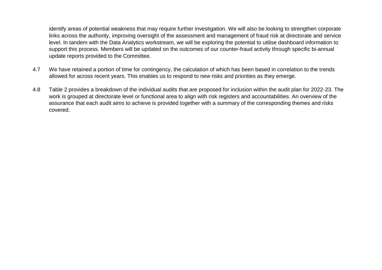identify areas of potential weakness that may require further investigation. We will also be looking to strengthen corporate links across the authority, improving oversight of the assessment and management of fraud risk at directorate and service level. In tandem with the Data Analytics workstream, we will be exploring the potential to utilise dashboard information to support this process. Members will be updated on the outcomes of our counter-fraud activity through specific bi-annual update reports provided to the Committee.

- 4.7 We have retained a portion of time for contingency, the calculation of which has been based in correlation to the trends allowed for across recent years. This enables us to respond to new risks and priorities as they emerge.
- 4.8 Table 2 provides a breakdown of the individual audits that are proposed for inclusion within the audit plan for 2022-23. The work is grouped at directorate level or functional area to align with risk registers and accountabilities. An overview of the assurance that each audit aims to achieve is provided together with a summary of the corresponding themes and risks covered.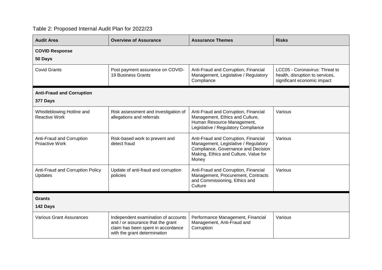### Table 2: Proposed Internal Audit Plan for 2022/23

| <b>Audit Area</b>                                  | <b>Overview of Assurance</b>                                                                                                                   | <b>Assurance Themes</b>                                                                                                                                               | <b>Risks</b>                                                                                     |
|----------------------------------------------------|------------------------------------------------------------------------------------------------------------------------------------------------|-----------------------------------------------------------------------------------------------------------------------------------------------------------------------|--------------------------------------------------------------------------------------------------|
| <b>COVID Response</b><br>50 Days                   |                                                                                                                                                |                                                                                                                                                                       |                                                                                                  |
| <b>Covid Grants</b>                                | Post payment assurance on COVID-<br>19 Business Grants                                                                                         | Anti-Fraud and Corruption, Financial<br>Management, Legislative / Regulatory<br>Compliance                                                                            | LCC05 - Coronavirus: Threat to<br>health, disruption to services,<br>significant economic impact |
| <b>Anti-Fraud and Corruption</b><br>377 Days       |                                                                                                                                                |                                                                                                                                                                       |                                                                                                  |
| Whistleblowing Hotline and<br><b>Reactive Work</b> | Risk assessment and investigation of<br>allegations and referrals                                                                              | Anti-Fraud and Corruption, Financial<br>Management, Ethics and Culture,<br>Human Resource Management,<br>Legislative / Regulatory Compliance                          | Various                                                                                          |
| Anti-Fraud and Corruption<br><b>Proactive Work</b> | Risk-based work to prevent and<br>detect fraud                                                                                                 | Anti-Fraud and Corruption, Financial<br>Management, Legislative / Regulatory<br>Compliance, Governance and Decision<br>Making, Ethics and Culture, Value for<br>Money | Various                                                                                          |
| Anti-Fraud and Corruption Policy<br>Updates        | Update of anti-fraud and corruption<br>policies                                                                                                | Anti-Fraud and Corruption, Financial<br>Management, Procurement, Contracts<br>and Commissioning, Ethics and<br>Culture                                                | Various                                                                                          |
| <b>Grants</b><br>142 Days                          |                                                                                                                                                |                                                                                                                                                                       |                                                                                                  |
| <b>Various Grant Assurances</b>                    | Independent examination of accounts<br>and / or assurance that the grant<br>claim has been spent in accordance<br>with the grant determination | Performance Management, Financial<br>Management, Anti-Fraud and<br>Corruption                                                                                         | Various                                                                                          |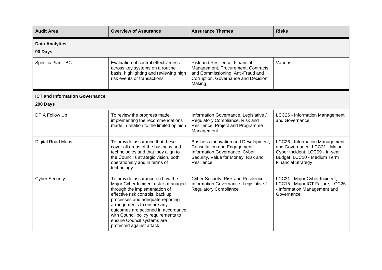| <b>Audit Area</b>                     | <b>Overview of Assurance</b>                                                                                                                                                                                                                                                                                                                           | <b>Assurance Themes</b>                                                                                                                                    | <b>Risks</b>                                                                                                                                                   |
|---------------------------------------|--------------------------------------------------------------------------------------------------------------------------------------------------------------------------------------------------------------------------------------------------------------------------------------------------------------------------------------------------------|------------------------------------------------------------------------------------------------------------------------------------------------------------|----------------------------------------------------------------------------------------------------------------------------------------------------------------|
| <b>Data Analytics</b><br>90 Days      |                                                                                                                                                                                                                                                                                                                                                        |                                                                                                                                                            |                                                                                                                                                                |
| Specific Plan TBC                     | Evaluation of control effectiveness<br>across key systems on a routine<br>basis, highlighting and reviewing high<br>risk events or transactions                                                                                                                                                                                                        | Risk and Resilience, Financial<br>Management, Procurement, Contracts<br>and Commissioning, Anti-Fraud and<br>Corruption, Governance and Decision<br>Making | Various                                                                                                                                                        |
| <b>ICT and Information Governance</b> |                                                                                                                                                                                                                                                                                                                                                        |                                                                                                                                                            |                                                                                                                                                                |
| 200 Days                              |                                                                                                                                                                                                                                                                                                                                                        |                                                                                                                                                            |                                                                                                                                                                |
| <b>DPIA Follow Up</b>                 | To review the progress made<br>implementing the recommendations<br>made in relation to the limited opinion                                                                                                                                                                                                                                             | Information Governance, Legislative /<br>Regulatory Compliance, Risk and<br>Resilience, Project and Programme<br>Management                                | LCC26 - Information Management<br>and Governance                                                                                                               |
| Digital Road Maps                     | To provide assurance that these<br>cover all areas of the business and<br>technologies and that they align to<br>the Council's strategic vision, both<br>operationally and in terms of<br>technology                                                                                                                                                   | Business Innovation and Development,<br>Consultation and Engagement,<br>Information Governance, Cyber<br>Security, Value for Money, Risk and<br>Resilience | LCC26 - Information Management<br>and Governance, LCC31 - Major<br>Cyber Incident, LCC09 - In-year<br>Budget, LCC10 - Medium Term<br><b>Financial Strategy</b> |
| <b>Cyber Security</b>                 | To provide assurance on how the<br>Major Cyber Incident risk is managed<br>through the implementation of<br>effective risk controls, back up<br>processes and adequate reporting<br>arrangements to ensure any<br>outcomes are actioned in accordance<br>with Council policy requirements to<br>ensure Council systems are<br>protected against attack | Cyber Security, Risk and Resilience,<br>Information Governance, Legislative /<br><b>Regulatory Compliance</b>                                              | LCC31 - Major Cyber Incident,<br>LCC15 - Major ICT Failure, LCC26<br>- Information Management and<br>Governance                                                |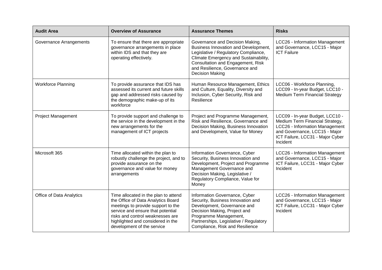| <b>Audit Area</b>         | <b>Overview of Assurance</b>                                                                                                                                                                                                                                 | <b>Assurance Themes</b>                                                                                                                                                                                                                            | <b>Risks</b>                                                                                                                                                                          |
|---------------------------|--------------------------------------------------------------------------------------------------------------------------------------------------------------------------------------------------------------------------------------------------------------|----------------------------------------------------------------------------------------------------------------------------------------------------------------------------------------------------------------------------------------------------|---------------------------------------------------------------------------------------------------------------------------------------------------------------------------------------|
| Governance Arrangements   | To ensure that there are appropriate<br>governance arrangements in place<br>within IDS and that they are<br>operating effectively.                                                                                                                           | Governance and Decision Making,<br>Business Innovation and Development,<br>Legislative / Regulatory Compliance,<br>Climate Emergency and Sustainability,<br>Consultation and Engagement, Risk<br>and Resilience, Governance and<br>Decision Making | LCC26 - Information Management<br>and Governance, LCC15 - Major<br><b>ICT Failure</b>                                                                                                 |
| <b>Workforce Planning</b> | To provide assurance that IDS has<br>assessed its current and future skills<br>gap and addressed risks caused by<br>the demographic make-up of its<br>workforce                                                                                              | Human Resource Management, Ethics<br>and Culture, Equality, Diversity and<br>Inclusion, Cyber Security, Risk and<br>Resilience                                                                                                                     | LCC06 - Workforce Planning,<br>LCC09 - In-year Budget, LCC10 -<br>Medium Term Financial Strategy                                                                                      |
| <b>Project Management</b> | To provide support and challenge to<br>the service in the development in the<br>new arrangements for the<br>management of ICT projects                                                                                                                       | Project and Programme Management,<br>Risk and Resilience, Governance and<br>Decision Making, Business Innovation<br>and Development, Value for Money                                                                                               | LCC09 - In-year Budget, LCC10 -<br>Medium Term Financial Strategy,<br>LCC26 - Information Management<br>and Governance, LCC15 - Major<br>ICT Failure, LCC31 - Major Cyber<br>Incident |
| Microsoft 365             | Time allocated within the plan to<br>robustly challenge the project, and to<br>provide assurance on the<br>governance and value for money<br>arrangements                                                                                                    | Information Governance, Cyber<br>Security, Business Innovation and<br>Development, Project and Programme<br>Management Governance and<br>Decision Making, Legislative /<br>Regulatory Compliance, Value for<br>Money                               | LCC26 - Information Management<br>and Governance, LCC15 - Major<br>ICT Failure, LCC31 - Major Cyber<br>Incident                                                                       |
| Office of Data Analytics  | Time allocated in the plan to attend<br>the Office of Data Analytics Board<br>meetings to provide support to the<br>service and ensure that potential<br>risks and control weaknesses are<br>highlighted and considered in the<br>development of the service | Information Governance, Cyber<br>Security, Business Innovation and<br>Development, Governance and<br>Decision Making, Project and<br>Programme Management,<br>Partnerships, Legislative / Regulatory<br>Compliance, Risk and Resilience            | LCC26 - Information Management<br>and Governance, LCC15 - Major<br>ICT Failure, LCC31 - Major Cyber<br>Incident                                                                       |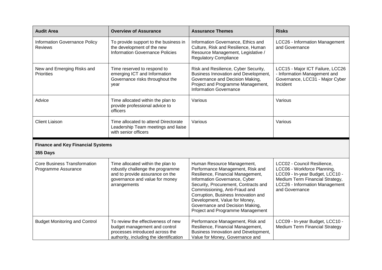| <b>Audit Area</b>                                          | <b>Overview of Assurance</b>                                                                                                                               | <b>Assurance Themes</b>                                                                                                                                                                                                                                                                                                                                      | <b>Risks</b>                                                                                                                                                                         |
|------------------------------------------------------------|------------------------------------------------------------------------------------------------------------------------------------------------------------|--------------------------------------------------------------------------------------------------------------------------------------------------------------------------------------------------------------------------------------------------------------------------------------------------------------------------------------------------------------|--------------------------------------------------------------------------------------------------------------------------------------------------------------------------------------|
| Information Governance Policy<br><b>Reviews</b>            | To provide support to the business in<br>the development of the new<br><b>Information Governance Policies</b>                                              | Information Governance, Ethics and<br>Culture, Risk and Resilience, Human<br>Resource Management, Legislative /<br><b>Regulatory Compliance</b>                                                                                                                                                                                                              | LCC26 - Information Management<br>and Governance                                                                                                                                     |
| New and Emerging Risks and<br><b>Priorities</b>            | Time reserved to respond to<br>emerging ICT and Information<br>Governance risks throughout the<br>year                                                     | Risk and Resilience, Cyber Security,<br>Business Innovation and Development,<br>Governance and Decision Making,<br>Project and Programme Management,<br><b>Information Governance</b>                                                                                                                                                                        | LCC15 - Major ICT Failure, LCC26<br>- Information Management and<br>Governance, LCC31 - Major Cyber<br>Incident                                                                      |
| Advice                                                     | Time allocated within the plan to<br>provide professional advice to<br>officers                                                                            | Various                                                                                                                                                                                                                                                                                                                                                      | Various                                                                                                                                                                              |
| <b>Client Liaison</b>                                      | Time allocated to attend Directorate<br>Leadership Team meetings and liaise<br>with senior officers                                                        | Various                                                                                                                                                                                                                                                                                                                                                      | Various                                                                                                                                                                              |
| <b>Finance and Key Financial Systems</b><br>355 Days       |                                                                                                                                                            |                                                                                                                                                                                                                                                                                                                                                              |                                                                                                                                                                                      |
| <b>Core Business Transformation</b><br>Programme Assurance | Time allocated within the plan to<br>robustly challenge the programme<br>and to provide assurance on the<br>governance and value for money<br>arrangements | Human Resource Management,<br>Performance Management, Risk and<br>Resilience, Financial Management,<br>Information Governance, Cyber<br>Security, Procurement, Contracts and<br>Commissioning, Anti-Fraud and<br>Corruption, Business Innovation and<br>Development, Value for Money,<br>Governance and Decision Making,<br>Project and Programme Management | LCC02 - Council Resilience,<br>LCC06 - Workforce Planning,<br>LCC09 - In-year Budget, LCC10 -<br>Medium Term Financial Strategy,<br>LCC26 - Information Management<br>and Governance |
| <b>Budget Monitoring and Control</b>                       | To review the effectiveness of new<br>budget management and control<br>processes introduced across the<br>authority, including the identification          | Performance Management, Risk and<br>Resilience, Financial Management,<br>Business Innovation and Development,<br>Value for Money, Governance and                                                                                                                                                                                                             | LCC09 - In-year Budget, LCC10 -<br>Medium Term Financial Strategy                                                                                                                    |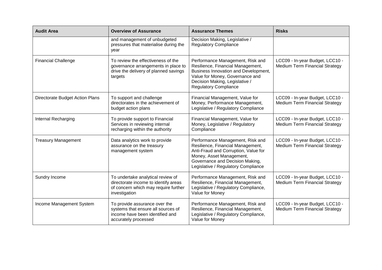| <b>Audit Area</b>               | <b>Overview of Assurance</b>                                                                                                       | <b>Assurance Themes</b>                                                                                                                                                                                             | <b>Risks</b>                                                             |
|---------------------------------|------------------------------------------------------------------------------------------------------------------------------------|---------------------------------------------------------------------------------------------------------------------------------------------------------------------------------------------------------------------|--------------------------------------------------------------------------|
|                                 | and management of unbudgeted<br>pressures that materialise during the<br>year                                                      | Decision Making, Legislative /<br><b>Regulatory Compliance</b>                                                                                                                                                      |                                                                          |
| <b>Financial Challenge</b>      | To review the effectiveness of the<br>governance arrangements in place to<br>drive the delivery of planned savings<br>targets      | Performance Management, Risk and<br>Resilience, Financial Management,<br>Business Innovation and Development,<br>Value for Money, Governance and<br>Decision Making, Legislative /<br><b>Regulatory Compliance</b>  | LCC09 - In-year Budget, LCC10 -<br>Medium Term Financial Strategy        |
| Directorate Budget Action Plans | To support and challenge<br>directorates in the achievement of<br>budget action plans                                              | Financial Management, Value for<br>Money, Performance Management,<br>Legislative / Regulatory Compliance                                                                                                            | LCC09 - In-year Budget, LCC10 -<br>Medium Term Financial Strategy        |
| Internal Recharging             | To provide support to Financial<br>Services in reviewing internal<br>recharging within the authority                               | Financial Management, Value for<br>Money, Legislative / Regulatory<br>Compliance                                                                                                                                    | LCC09 - In-year Budget, LCC10 -<br>Medium Term Financial Strategy        |
| <b>Treasury Management</b>      | Data analytics work to provide<br>assurance on the treasury<br>management system                                                   | Performance Management, Risk and<br>Resilience, Financial Management,<br>Anti-Fraud and Corruption, Value for<br>Money, Asset Management,<br>Governance and Decision Making,<br>Legislative / Regulatory Compliance | LCC09 - In-year Budget, LCC10 -<br>Medium Term Financial Strategy        |
| Sundry Income                   | To undertake analytical review of<br>directorate income to identify areas<br>of concern which may require further<br>investigation | Performance Management, Risk and<br>Resilience, Financial Management,<br>Legislative / Regulatory Compliance,<br>Value for Money                                                                                    | LCC09 - In-year Budget, LCC10 -<br>Medium Term Financial Strategy        |
| Income Management System        | To provide assurance over the<br>systems that ensure all sources of<br>income have been identified and<br>accurately processed     | Performance Management, Risk and<br>Resilience, Financial Management,<br>Legislative / Regulatory Compliance,<br>Value for Money                                                                                    | LCC09 - In-year Budget, LCC10 -<br><b>Medium Term Financial Strategy</b> |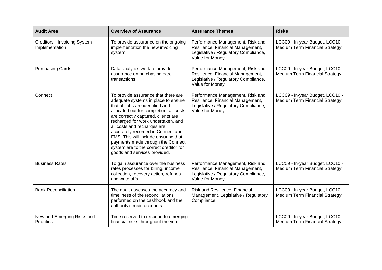| <b>Audit Area</b>                              | <b>Overview of Assurance</b>                                                                                                                                                                                                                                                                                                                                                                                                                                       | <b>Assurance Themes</b>                                                                                                          | <b>Risks</b>                                                             |
|------------------------------------------------|--------------------------------------------------------------------------------------------------------------------------------------------------------------------------------------------------------------------------------------------------------------------------------------------------------------------------------------------------------------------------------------------------------------------------------------------------------------------|----------------------------------------------------------------------------------------------------------------------------------|--------------------------------------------------------------------------|
| Creditors - Invoicing System<br>Implementation | To provide assurance on the ongoing<br>implementation the new invoicing<br>system                                                                                                                                                                                                                                                                                                                                                                                  | Performance Management, Risk and<br>Resilience, Financial Management,<br>Legislative / Regulatory Compliance,<br>Value for Money | LCC09 - In-year Budget, LCC10 -<br>Medium Term Financial Strategy        |
| <b>Purchasing Cards</b>                        | Data analytics work to provide<br>assurance on purchasing card<br>transactions                                                                                                                                                                                                                                                                                                                                                                                     | Performance Management, Risk and<br>Resilience, Financial Management,<br>Legislative / Regulatory Compliance,<br>Value for Money | LCC09 - In-year Budget, LCC10 -<br><b>Medium Term Financial Strategy</b> |
| Connect                                        | To provide assurance that there are<br>adequate systems in place to ensure<br>that all jobs are identified and<br>allocated out for completion, all costs<br>are correctly captured, clients are<br>recharged for work undertaken, and<br>all costs and recharges are<br>accurately recorded in Connect and<br>FMS. This will include ensuring that<br>payments made through the Connect<br>system are to the correct creditor for<br>goods and services provided. | Performance Management, Risk and<br>Resilience, Financial Management,<br>Legislative / Regulatory Compliance,<br>Value for Money | LCC09 - In-year Budget, LCC10 -<br><b>Medium Term Financial Strategy</b> |
| <b>Business Rates</b>                          | To gain assurance over the business<br>rates processes for billing, income<br>collection, recovery action, refunds<br>and write offs.                                                                                                                                                                                                                                                                                                                              | Performance Management, Risk and<br>Resilience, Financial Management,<br>Legislative / Regulatory Compliance,<br>Value for Money | LCC09 - In-year Budget, LCC10 -<br><b>Medium Term Financial Strategy</b> |
| <b>Bank Reconciliation</b>                     | The audit assesses the accuracy and<br>timeliness of the reconciliations<br>performed on the cashbook and the<br>authority's main accounts.                                                                                                                                                                                                                                                                                                                        | Risk and Resilience, Financial<br>Management, Legislative / Regulatory<br>Compliance                                             | LCC09 - In-year Budget, LCC10 -<br><b>Medium Term Financial Strategy</b> |
| New and Emerging Risks and<br>Priorities       | Time reserved to respond to emerging<br>financial risks throughout the year.                                                                                                                                                                                                                                                                                                                                                                                       |                                                                                                                                  | LCC09 - In-year Budget, LCC10 -<br><b>Medium Term Financial Strategy</b> |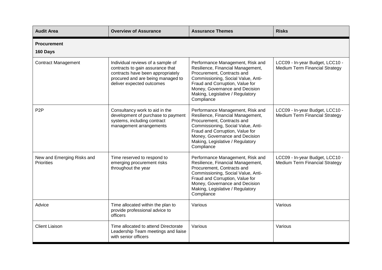| <b>Audit Area</b>                               | <b>Overview of Assurance</b>                                                                                                                                                 | <b>Assurance Themes</b>                                                                                                                                                                                                                                          | <b>Risks</b>                                                      |
|-------------------------------------------------|------------------------------------------------------------------------------------------------------------------------------------------------------------------------------|------------------------------------------------------------------------------------------------------------------------------------------------------------------------------------------------------------------------------------------------------------------|-------------------------------------------------------------------|
| <b>Procurement</b><br>160 Days                  |                                                                                                                                                                              |                                                                                                                                                                                                                                                                  |                                                                   |
| <b>Contract Management</b>                      | Individual reviews of a sample of<br>contracts to gain assurance that<br>contracts have been appropriately<br>procured and are being managed to<br>deliver expected outcomes | Performance Management, Risk and<br>Resilience, Financial Management,<br>Procurement, Contracts and<br>Commissioning, Social Value, Anti-<br>Fraud and Corruption, Value for<br>Money, Governance and Decision<br>Making, Legislative / Regulatory<br>Compliance | LCC09 - In-year Budget, LCC10 -<br>Medium Term Financial Strategy |
| P <sub>2</sub> P                                | Consultancy work to aid in the<br>development of purchase to payment<br>systems, including contract<br>management arrangements                                               | Performance Management, Risk and<br>Resilience, Financial Management,<br>Procurement, Contracts and<br>Commissioning, Social Value, Anti-<br>Fraud and Corruption, Value for<br>Money, Governance and Decision<br>Making, Legislative / Regulatory<br>Compliance | LCC09 - In-year Budget, LCC10 -<br>Medium Term Financial Strategy |
| New and Emerging Risks and<br><b>Priorities</b> | Time reserved to respond to<br>emerging procurement risks<br>throughout the year                                                                                             | Performance Management, Risk and<br>Resilience, Financial Management,<br>Procurement, Contracts and<br>Commissioning, Social Value, Anti-<br>Fraud and Corruption, Value for<br>Money, Governance and Decision<br>Making, Legislative / Regulatory<br>Compliance | LCC09 - In-year Budget, LCC10 -<br>Medium Term Financial Strategy |
| Advice                                          | Time allocated within the plan to<br>provide professional advice to<br>officers                                                                                              | Various                                                                                                                                                                                                                                                          | Various                                                           |
| <b>Client Liaison</b>                           | Time allocated to attend Directorate<br>Leadership Team meetings and liaise<br>with senior officers                                                                          | Various                                                                                                                                                                                                                                                          | Various                                                           |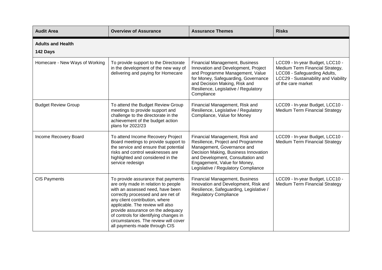| <b>Audit Area</b>                    | <b>Overview of Assurance</b>                                                                                                                                                                                                                                                                                                                                                      | <b>Assurance Themes</b>                                                                                                                                                                                                                               | <b>Risks</b>                                                                                                                                                     |
|--------------------------------------|-----------------------------------------------------------------------------------------------------------------------------------------------------------------------------------------------------------------------------------------------------------------------------------------------------------------------------------------------------------------------------------|-------------------------------------------------------------------------------------------------------------------------------------------------------------------------------------------------------------------------------------------------------|------------------------------------------------------------------------------------------------------------------------------------------------------------------|
| <b>Adults and Health</b><br>142 Days |                                                                                                                                                                                                                                                                                                                                                                                   |                                                                                                                                                                                                                                                       |                                                                                                                                                                  |
| Homecare - New Ways of Working       | To provide support to the Directorate<br>in the development of the new way of<br>delivering and paying for Homecare                                                                                                                                                                                                                                                               | <b>Financial Management, Business</b><br>Innovation and Development, Project<br>and Programme Management, Value<br>for Money, Safeguarding, Governance<br>and Decision Making, Risk and<br>Resilience, Legislative / Regulatory<br>Compliance         | LCC09 - In-year Budget, LCC10 -<br>Medium Term Financial Strategy,<br>LCC08 - Safeguarding Adults,<br>LCC29 - Sustainability and Viability<br>of the care market |
| <b>Budget Review Group</b>           | To attend the Budget Review Group<br>meetings to provide support and<br>challenge to the directorate in the<br>achievement of the budget action<br>plans for 2022/23                                                                                                                                                                                                              | Financial Management, Risk and<br>Resilience, Legislative / Regulatory<br>Compliance, Value for Money                                                                                                                                                 | LCC09 - In-year Budget, LCC10 -<br>Medium Term Financial Strategy                                                                                                |
| Income Recovery Board                | To attend Income Recovery Project<br>Board meetings to provide support to<br>the service and ensure that potential<br>risks and control weaknesses are<br>highlighted and considered in the<br>service redesign                                                                                                                                                                   | Financial Management, Risk and<br>Resilience, Project and Programme<br>Management, Governance and<br>Decision Making, Business Innovation<br>and Development, Consultation and<br>Engagement, Value for Money,<br>Legislative / Regulatory Compliance | LCC09 - In-year Budget, LCC10 -<br><b>Medium Term Financial Strategy</b>                                                                                         |
| <b>CIS Payments</b>                  | To provide assurance that payments<br>are only made in relation to people<br>with an assessed need, have been<br>correctly processed and are net of<br>any client contribution, where<br>applicable. The review will also<br>provide assurance on the adequacy<br>of controls for identifying changes in<br>circumstances. The review will cover<br>all payments made through CIS | <b>Financial Management, Business</b><br>Innovation and Development, Risk and<br>Resilience, Safeguarding, Legislative /<br><b>Regulatory Compliance</b>                                                                                              | LCC09 - In-year Budget, LCC10 -<br><b>Medium Term Financial Strategy</b>                                                                                         |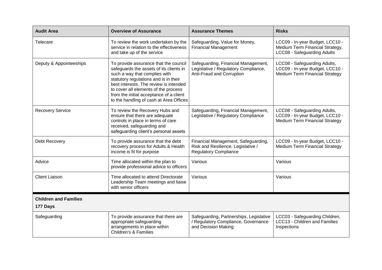| <b>Audit Area</b>            | <b>Overview of Assurance</b>                                                                                                                                                                                                                                                                                                       | <b>Assurance Themes</b>                                                                                   | <b>Risks</b>                                                                                             |
|------------------------------|------------------------------------------------------------------------------------------------------------------------------------------------------------------------------------------------------------------------------------------------------------------------------------------------------------------------------------|-----------------------------------------------------------------------------------------------------------|----------------------------------------------------------------------------------------------------------|
| Telecare                     | To review the work undertaken by the<br>service in relation to the effectiveness<br>and take up of the service                                                                                                                                                                                                                     | Safeguarding, Value for Money,<br><b>Financial Management</b>                                             | LCC09 - In-year Budget, LCC10 -<br>Medium Term Financial Strategy,<br>LCC08 - Safeguarding Adults        |
| Deputy & Appointeeships      | To provide assurance that the council<br>safeguards the assets of its clients in<br>such a way that complies with<br>statutory regulations and is in their<br>best interests. The review is intended<br>to cover all elements of the process<br>from the initial acceptance of a client<br>to the handling of cash at Area Offices | Safeguarding, Financial Management,<br>Legislative / Regulatory Compliance,<br>Anti-Fraud and Corruption  | LCC08 - Safeguarding Adults,<br>LCC09 - In-year Budget, LCC10 -<br><b>Medium Term Financial Strategy</b> |
| <b>Recovery Service</b>      | To review the Recovery Hubs and<br>ensure that there are adequate<br>controls in place in terms of care<br>received, safeguarding and<br>safeguarding client's personal assets                                                                                                                                                     | Safeguarding, Financial Management,<br>Legislative / Regulatory Compliance                                | LCC08 - Safeguarding Adults,<br>LCC09 - In-year Budget, LCC10 -<br>Medium Term Financial Strategy        |
| Debt Recovery                | To provide assurance that the debt<br>recovery process for Adults & Health<br>income is fit for purpose                                                                                                                                                                                                                            | Financial Management, Safeguarding,<br>Risk and Resilience, Legislative /<br><b>Regulatory Compliance</b> | LCC09 - In-year Budget, LCC10 -<br>Medium Term Financial Strategy                                        |
| Advice                       | Time allocated within the plan to<br>provide professional advice to officers                                                                                                                                                                                                                                                       | Various                                                                                                   | Various                                                                                                  |
| <b>Client Liaison</b>        | Time allocated to attend Directorate<br>Leadership Team meetings and liaise<br>with senior officers                                                                                                                                                                                                                                | Various                                                                                                   | Various                                                                                                  |
| <b>Children and Families</b> |                                                                                                                                                                                                                                                                                                                                    |                                                                                                           |                                                                                                          |
| 177 Days                     |                                                                                                                                                                                                                                                                                                                                    |                                                                                                           |                                                                                                          |
| Safeguarding                 | To provide assurance that there are<br>appropriate safeguarding<br>arrangements in place within<br><b>Children's &amp; Families</b>                                                                                                                                                                                                | Safeguarding, Partnerships, Legislative<br>/ Regulatory Compliance, Governance<br>and Decision Making     | LCC03 - Safeguarding Children,<br>LCC13 - Children and Families<br>Inspections                           |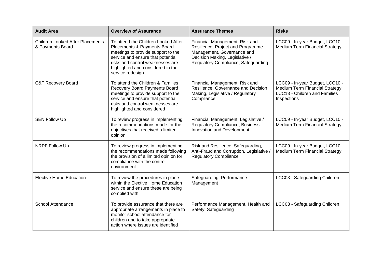| <b>Audit Area</b>                                           | <b>Overview of Assurance</b>                                                                                                                                                                                                               | <b>Assurance Themes</b>                                                                                                                                                    | <b>Risks</b>                                                                                                       |
|-------------------------------------------------------------|--------------------------------------------------------------------------------------------------------------------------------------------------------------------------------------------------------------------------------------------|----------------------------------------------------------------------------------------------------------------------------------------------------------------------------|--------------------------------------------------------------------------------------------------------------------|
| <b>Children Looked After Placements</b><br>& Payments Board | To attend the Children Looked After<br>Placements & Payments Board<br>meetings to provide support to the<br>service and ensure that potential<br>risks and control weaknesses are<br>highlighted and considered in the<br>service redesign | Financial Management, Risk and<br>Resilience, Project and Programme<br>Management, Governance and<br>Decision Making, Legislative /<br>Regulatory Compliance, Safeguarding | LCC09 - In-year Budget, LCC10 -<br><b>Medium Term Financial Strategy</b>                                           |
| <b>C&amp;F Recovery Board</b>                               | To attend the Children & Families<br><b>Recovery Board Payments Board</b><br>meetings to provide support to the<br>service and ensure that potential<br>risks and control weaknesses are<br>highlighted and considered                     | Financial Management, Risk and<br>Resilience, Governance and Decision<br>Making, Legislative / Regulatory<br>Compliance                                                    | LCC09 - In-year Budget, LCC10 -<br>Medium Term Financial Strategy,<br>LCC13 - Children and Families<br>Inspections |
| <b>SEN Follow Up</b>                                        | To review progress in implementing<br>the recommendations made for the<br>objectives that received a limited<br>opinion                                                                                                                    | Financial Management, Legislative /<br><b>Regulatory Compliance, Business</b><br>Innovation and Development                                                                | LCC09 - In-year Budget, LCC10 -<br><b>Medium Term Financial Strategy</b>                                           |
| NRPF Follow Up                                              | To review progress in implementing<br>the recommendations made following<br>the provision of a limited opinion for<br>compliance with the control<br>environment                                                                           | Risk and Resilience, Safeguarding,<br>Anti-Fraud and Corruption, Legislative /<br><b>Regulatory Compliance</b>                                                             | LCC09 - In-year Budget, LCC10 -<br><b>Medium Term Financial Strategy</b>                                           |
| <b>Elective Home Education</b>                              | To review the procedures in place<br>within the Elective Home Education<br>service and ensure these are being<br>complied with                                                                                                             | Safeguarding, Performance<br>Management                                                                                                                                    | LCC03 - Safeguarding Children                                                                                      |
| School Attendance                                           | To provide assurance that there are<br>appropriate arrangements in place to<br>monitor school attendance for<br>children and to take appropriate<br>action where issues are identified                                                     | Performance Management, Health and<br>Safety, Safeguarding                                                                                                                 | LCC03 - Safeguarding Children                                                                                      |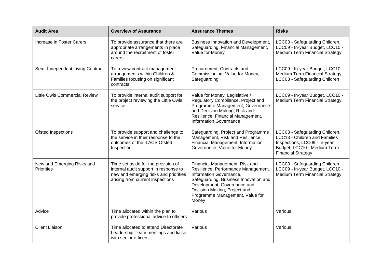| <b>Audit Area</b>                        | <b>Overview of Assurance</b>                                                                                                                              | <b>Assurance Themes</b>                                                                                                                                                                                                                              | <b>Risks</b>                                                                                                                                                |
|------------------------------------------|-----------------------------------------------------------------------------------------------------------------------------------------------------------|------------------------------------------------------------------------------------------------------------------------------------------------------------------------------------------------------------------------------------------------------|-------------------------------------------------------------------------------------------------------------------------------------------------------------|
| Increase in Foster Carers                | To provide assurance that there are<br>appropriate arrangements in place<br>around the recruitment of foster<br>carers                                    | Business Innovation and Development,<br>Safeguarding, Financial Management,<br>Value for Money                                                                                                                                                       | LCC03 - Safeguarding Children,<br>LCC09 - In-year Budget, LCC10 -<br><b>Medium Term Financial Strategy</b>                                                  |
| Semi-Independent Living Contract         | To review contract management<br>arrangements within Children &<br>Families focusing on significant<br>contracts                                          | Procurement, Contracts and<br>Commissioning, Value for Money,<br>Safeguarding                                                                                                                                                                        | LCC09 - In-year Budget, LCC10 -<br>Medium Term Financial Strategy,<br>LCC03 - Safeguarding Children                                                         |
| <b>Little Owls Commercial Review</b>     | To provide internal audit support for<br>the project reviewing the Little Owls<br>service                                                                 | Value for Money, Legislative /<br>Regulatory Compliance, Project and<br>Programme Management, Governance<br>and Decision Making, Risk and<br>Resilience, Financial Management,<br><b>Information Governance</b>                                      | LCC09 - In-year Budget, LCC10 -<br><b>Medium Term Financial Strategy</b>                                                                                    |
| Ofsted Inspections                       | To provide support and challenge to<br>the service in their response to the<br>outcomes of the ILACS Ofsted<br>Inspection                                 | Safeguarding, Project and Programme<br>Management, Risk and Resilience,<br>Financial Management, Information<br>Governance, Value for Money                                                                                                          | LCC03 - Safeguarding Children,<br>LCC13 - Children and Families<br>Inspections, LCC09 - In-year<br>Budget, LCC10 - Medium Term<br><b>Financial Strategy</b> |
| New and Emerging Risks and<br>Priorities | Time set aside for the provision of<br>internal audit support in response to<br>new and emerging risks and priorities<br>arising from current inspections | Financial Management, Risk and<br>Resilience, Performance Management,<br>Information Governance,<br>Safeguarding, Business Innovation and<br>Development, Governance and<br>Decision Making, Project and<br>Programme Management, Value for<br>Money | LCC03 - Safeguarding Children,<br>LCC09 - In-year Budget, LCC10 -<br><b>Medium Term Financial Strategy</b>                                                  |
| Advice                                   | Time allocated within the plan to<br>provide professional advice to officers                                                                              | Various                                                                                                                                                                                                                                              | Various                                                                                                                                                     |
| <b>Client Liaison</b>                    | Time allocated to attend Directorate<br>Leadership Team meetings and liaise<br>with senior officers                                                       | Various                                                                                                                                                                                                                                              | Various                                                                                                                                                     |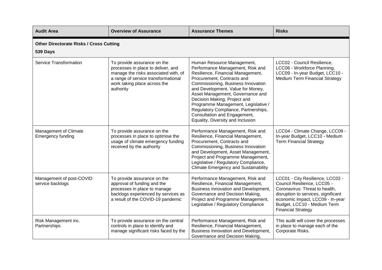| <b>Audit Area</b>                                          | <b>Overview of Assurance</b>                                                                                                                                                                  | <b>Assurance Themes</b>                                                                                                                                                                                                                                                                                                                                                                                                              | <b>Risks</b>                                                                                                                                                                                                                             |  |  |
|------------------------------------------------------------|-----------------------------------------------------------------------------------------------------------------------------------------------------------------------------------------------|--------------------------------------------------------------------------------------------------------------------------------------------------------------------------------------------------------------------------------------------------------------------------------------------------------------------------------------------------------------------------------------------------------------------------------------|------------------------------------------------------------------------------------------------------------------------------------------------------------------------------------------------------------------------------------------|--|--|
| <b>Other Directorate Risks / Cross Cutting</b><br>539 Days |                                                                                                                                                                                               |                                                                                                                                                                                                                                                                                                                                                                                                                                      |                                                                                                                                                                                                                                          |  |  |
| <b>Service Transformation</b>                              | To provide assurance on the<br>processes in place to deliver, and<br>manage the risks associated with, of<br>a range of service transformational<br>work taking place across the<br>authority | Human Resource Management,<br>Performance Management, Risk and<br>Resilience, Financial Management,<br>Procurement, Contracts and<br>Commissioning, Business Innovation<br>and Development, Value for Money,<br>Asset Management, Governance and<br>Decision Making, Project and<br>Programme Management, Legislative /<br>Regulatory Compliance, Partnerships,<br>Consultation and Engagement,<br>Equality, Diversity and Inclusion | LCC02 - Council Resilience,<br>LCC06 - Workforce Planning,<br>LCC09 - In-year Budget, LCC10 -<br><b>Medium Term Financial Strategy</b>                                                                                                   |  |  |
| Management of Climate<br><b>Emergency funding</b>          | To provide assurance on the<br>processes in place to optimise the<br>usage of climate emergency funding<br>received by the authority                                                          | Performance Management, Risk and<br>Resilience, Financial Management,<br>Procurement, Contracts and<br>Commissioning, Business Innovation<br>and Development, Asset Management,<br>Project and Programme Management,<br>Legislative / Regulatory Compliance,<br><b>Climate Emergency and Sustainability</b>                                                                                                                          | LCC04 - Climate Change, LCC09 -<br>In-year Budget, LCC10 - Medium<br><b>Term Financial Strategy</b>                                                                                                                                      |  |  |
| Management of post-COVID<br>service backlogs               | To provide assurance on the<br>approval of funding and the<br>processes in place to manage<br>backlogs experienced by services as<br>a result of the COVID-19 pandemic                        | Performance Management, Risk and<br>Resilience, Financial Management,<br>Business Innovation and Development,<br>Governance and Decision Making,<br>Project and Programme Management,<br>Legislative / Regulatory Compliance                                                                                                                                                                                                         | LCC01 - City Resilience, LCC02 -<br>Council Resilience, LCC05 -<br>Coronavirus: Threat to health,<br>disruption to services, significant<br>economic impact, LCC09 - In-year<br>Budget, LCC10 - Medium Term<br><b>Financial Strategy</b> |  |  |
| Risk Management inc.<br>Partnerships                       | To provide assurance on the central<br>controls in place to identify and<br>manage significant risks faced by the                                                                             | Performance Management, Risk and<br>Resilience, Financial Management,<br>Business Innovation and Development,<br>Governance and Decision Making,                                                                                                                                                                                                                                                                                     | This audit will cover the processes<br>in place to manage each of the<br>Corporate Risks.                                                                                                                                                |  |  |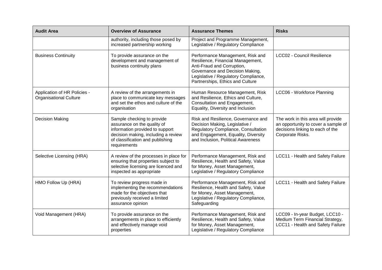| <b>Audit Area</b>                                             | <b>Overview of Assurance</b>                                                                                                                                                            | <b>Assurance Themes</b>                                                                                                                                                                                            | <b>Risks</b>                                                                                                                      |
|---------------------------------------------------------------|-----------------------------------------------------------------------------------------------------------------------------------------------------------------------------------------|--------------------------------------------------------------------------------------------------------------------------------------------------------------------------------------------------------------------|-----------------------------------------------------------------------------------------------------------------------------------|
|                                                               | authority, including those posed by<br>increased partnership working                                                                                                                    | Project and Programme Management,<br>Legislative / Regulatory Compliance                                                                                                                                           |                                                                                                                                   |
| <b>Business Continuity</b>                                    | To provide assurance on the<br>development and management of<br>business continuity plans                                                                                               | Performance Management, Risk and<br>Resilience, Financial Management,<br>Anti-Fraud and Corruption,<br>Governance and Decision Making,<br>Legislative / Regulatory Compliance,<br>Partnerships, Ethics and Culture | LCC02 - Council Resilience                                                                                                        |
| Application of HR Policies -<br><b>Organisational Culture</b> | A review of the arrangements in<br>place to communicate key messages<br>and set the ethos and culture of the<br>organisation                                                            | Human Resource Management, Risk<br>and Resilience, Ethics and Culture,<br>Consultation and Engagement,<br>Equality, Diversity and Inclusion                                                                        | LCC06 - Workforce Planning                                                                                                        |
| <b>Decision Making</b>                                        | Sample checking to provide<br>assurance on the quality of<br>information provided to support<br>decision making, including a review<br>of classification and publishing<br>requirements | Risk and Resilience, Governance and<br>Decision Making, Legislative /<br>Regulatory Compliance, Consultation<br>and Engagement, Equality, Diversity<br>and Inclusion, Political Awareness                          | The work in this area will provide<br>an opportunity to cover a sample of<br>decisions linking to each of the<br>Corporate Risks. |
| Selective Licensing (HRA)                                     | A review of the processes in place for<br>ensuring that properties subject to<br>selective licensing are licenced and<br>inspected as appropriate                                       | Performance Management, Risk and<br>Resilience, Health and Safety, Value<br>for Money, Asset Management,<br>Legislative / Regulatory Compliance                                                                    | LCC11 - Health and Safety Failure                                                                                                 |
| HMO Follow Up (HRA)                                           | To review progress made in<br>implementing the recommendations<br>made for the objectives that<br>previously received a limited<br>assurance opinion                                    | Performance Management, Risk and<br>Resilience, Health and Safety, Value<br>for Money, Asset Management,<br>Legislative / Regulatory Compliance,<br>Safeguarding                                                   | LCC11 - Health and Safety Failure                                                                                                 |
| Void Management (HRA)                                         | To provide assurance on the<br>arrangements in place to efficiently<br>and effectively manage void<br>properties                                                                        | Performance Management, Risk and<br>Resilience, Health and Safety, Value<br>for Money, Asset Management,<br>Legislative / Regulatory Compliance                                                                    | LCC09 - In-year Budget, LCC10 -<br>Medium Term Financial Strategy,<br>LCC11 - Health and Safety Failure                           |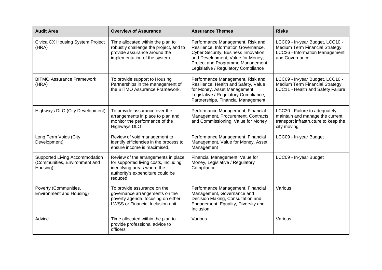| <b>Audit Area</b>                                                           | <b>Overview of Assurance</b>                                                                                                                               | <b>Assurance Themes</b>                                                                                                                                                                                                                | <b>Risks</b>                                                                                                            |
|-----------------------------------------------------------------------------|------------------------------------------------------------------------------------------------------------------------------------------------------------|----------------------------------------------------------------------------------------------------------------------------------------------------------------------------------------------------------------------------------------|-------------------------------------------------------------------------------------------------------------------------|
| Civica CX Housing System Project<br>(HRA)                                   | Time allocated within the plan to<br>robustly challenge the project, and to<br>provide assurance around the<br>implementation of the system                | Performance Management, Risk and<br>Resilience, Information Governance,<br><b>Cyber Security, Business Innovation</b><br>and Development, Value for Money,<br>Project and Programme Management,<br>Legislative / Regulatory Compliance | LCC09 - In-year Budget, LCC10 -<br>Medium Term Financial Strategy,<br>LCC26 - Information Management<br>and Governance  |
| <b>BITMO Assurance Framework</b><br>(HRA)                                   | To provide support to Housing<br>Partnerships in the management of<br>the BITMO Assurance Framework.                                                       | Performance Management, Risk and<br>Resilience, Health and Safety, Value<br>for Money, Asset Management,<br>Legislative / Regulatory Compliance,<br>Partnerships, Financial Management                                                 | LCC09 - In-year Budget, LCC10 -<br>Medium Term Financial Strategy,<br>LCC11 - Health and Safety Failure                 |
| Highways DLO (City Development)                                             | To provide assurance over the<br>arrangements in place to plan and<br>monitor the performance of the<br><b>Highways DLO</b>                                | Performance Management, Financial<br>Management, Procurement, Contracts<br>and Commissioning, Value for Money                                                                                                                          | LCC30 - Failure to adequately<br>maintain and manage the current<br>transport infrastructure to keep the<br>city moving |
| Long Term Voids (City<br>Development)                                       | Review of void management to<br>identify efficiencies in the process to<br>ensure income is maximised.                                                     | Performance Management, Financial<br>Management, Value for Money, Asset<br>Management                                                                                                                                                  | LCC09 - In-year Budget                                                                                                  |
| Supported Living Accommodation<br>(Communities, Environment and<br>Housing) | Review of the arrangements in place<br>for supported living costs, including<br>identifying areas where the<br>authority's expenditure could be<br>reduced | Financial Management, Value for<br>Money, Legislative / Regulatory<br>Compliance                                                                                                                                                       | LCC09 - In-year Budget                                                                                                  |
| Poverty (Communities,<br><b>Environment and Housing)</b>                    | To provide assurance on the<br>governance arrangements on the<br>poverty agenda, focusing on either<br>LWSS or Financial Inclusion unit                    | Performance Management, Financial<br>Management, Governance and<br>Decision Making, Consultation and<br>Engagement, Equality, Diversity and<br>Inclusion                                                                               | Various                                                                                                                 |
| Advice                                                                      | Time allocated within the plan to<br>provide professional advice to<br>officers                                                                            | Various                                                                                                                                                                                                                                | Various                                                                                                                 |